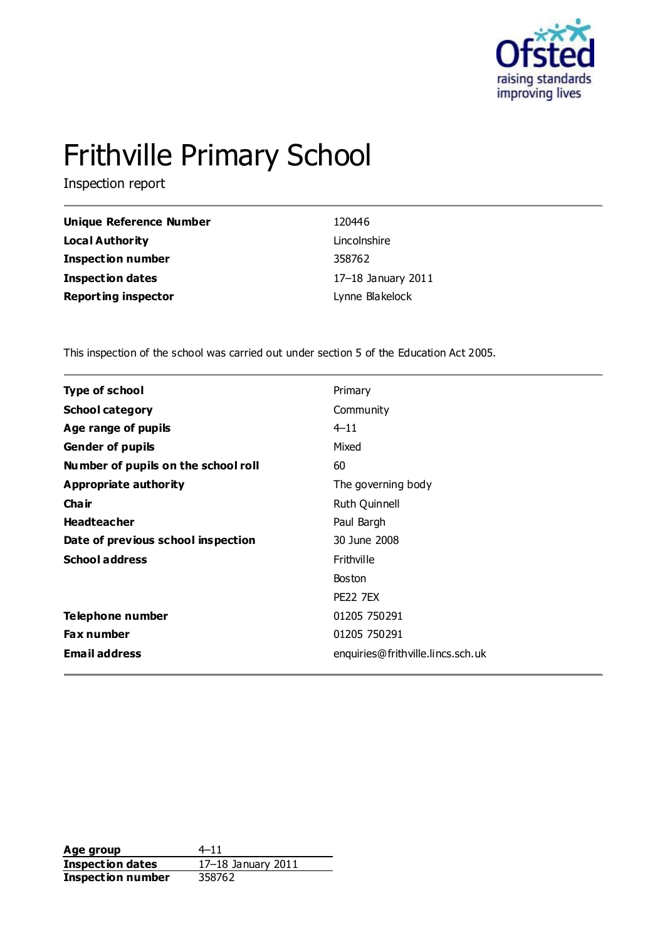

# Frithville Primary School

Inspection report

| Unique Reference Number    | 120446             |
|----------------------------|--------------------|
| <b>Local Authority</b>     | Lincolnshire       |
| <b>Inspection number</b>   | 358762             |
| Inspection dates           | 17-18 January 2011 |
| <b>Reporting inspector</b> | Lynne Blakelock    |

This inspection of the school was carried out under section 5 of the Education Act 2005.

| <b>Type of school</b>               | Primary                           |
|-------------------------------------|-----------------------------------|
| <b>School category</b>              | Community                         |
| Age range of pupils                 | $4 - 11$                          |
| <b>Gender of pupils</b>             | Mixed                             |
| Number of pupils on the school roll | 60                                |
| Appropriate authority               | The governing body                |
| Cha ir                              | Ruth Quinnell                     |
| <b>Headteacher</b>                  | Paul Bargh                        |
| Date of previous school inspection  | 30 June 2008                      |
| <b>School address</b>               | Frithville                        |
|                                     | <b>Boston</b>                     |
|                                     | <b>PE22 7EX</b>                   |
| Telephone number                    | 01205 750291                      |
| <b>Fax number</b>                   | 01205 750291                      |
| <b>Email address</b>                | enquiries@frithville.lincs.sch.uk |

**Age group** 4–11 **Inspection dates** 17–18 January 2011 **Inspection number** 358762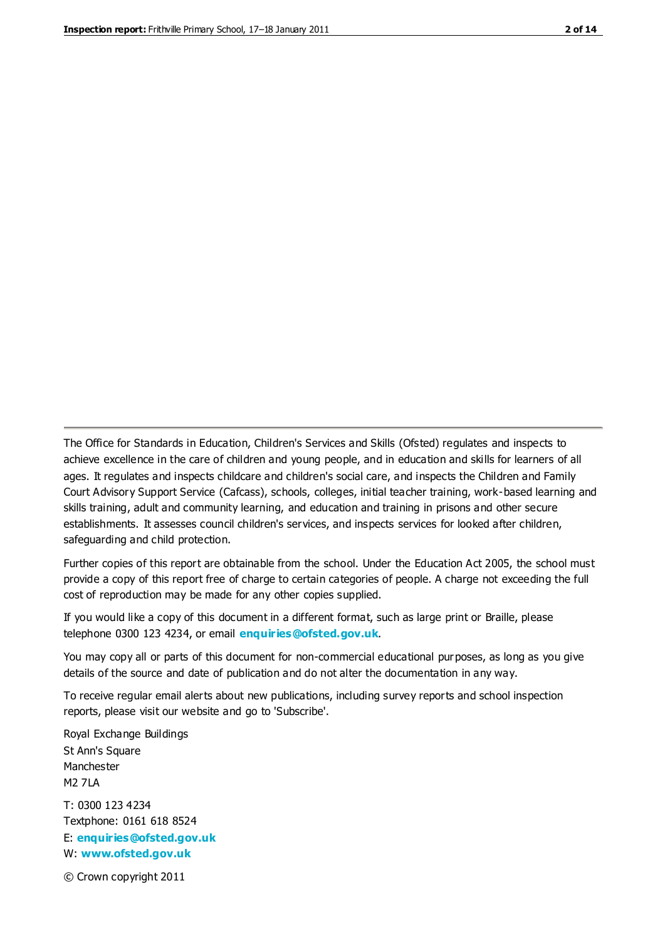The Office for Standards in Education, Children's Services and Skills (Ofsted) regulates and inspects to achieve excellence in the care of children and young people, and in education and skills for learners of all ages. It regulates and inspects childcare and children's social care, and inspects the Children and Family Court Advisory Support Service (Cafcass), schools, colleges, initial teacher training, work-based learning and skills training, adult and community learning, and education and training in prisons and other secure establishments. It assesses council children's services, and inspects services for looked after children, safeguarding and child protection.

Further copies of this report are obtainable from the school. Under the Education Act 2005, the school must provide a copy of this report free of charge to certain categories of people. A charge not exceeding the full cost of reproduction may be made for any other copies supplied.

If you would like a copy of this document in a different format, such as large print or Braille, please telephone 0300 123 4234, or email **[enquiries@ofsted.gov.uk](mailto:enquiries@ofsted.gov.uk)**.

You may copy all or parts of this document for non-commercial educational purposes, as long as you give details of the source and date of publication and do not alter the documentation in any way.

To receive regular email alerts about new publications, including survey reports and school inspection reports, please visit our website and go to 'Subscribe'.

Royal Exchange Buildings St Ann's Square Manchester M2 7LA T: 0300 123 4234 Textphone: 0161 618 8524 E: **[enquiries@ofsted.gov.uk](mailto:enquiries@ofsted.gov.uk)**

W: **[www.ofsted.gov.uk](http://www.ofsted.gov.uk/)**

© Crown copyright 2011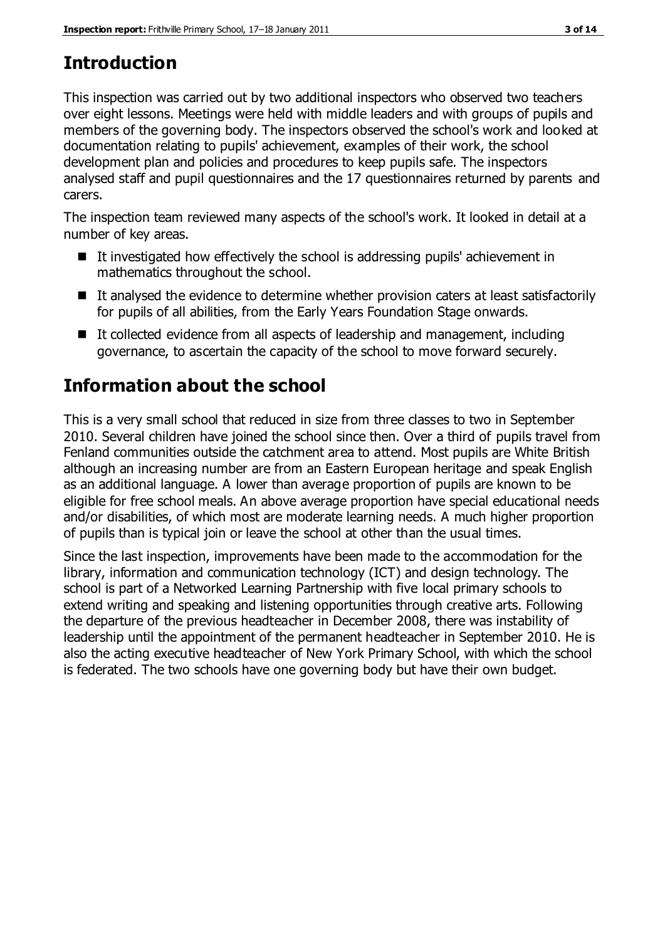# **Introduction**

This inspection was carried out by two additional inspectors who observed two teachers over eight lessons. Meetings were held with middle leaders and with groups of pupils and members of the governing body. The inspectors observed the school's work and looked at documentation relating to pupils' achievement, examples of their work, the school development plan and policies and procedures to keep pupils safe. The inspectors analysed staff and pupil questionnaires and the 17 questionnaires returned by parents and carers.

The inspection team reviewed many aspects of the school's work. It looked in detail at a number of key areas.

- $\blacksquare$  It investigated how effectively the school is addressing pupils' achievement in mathematics throughout the school.
- It analysed the evidence to determine whether provision caters at least satisfactorily for pupils of all abilities, from the Early Years Foundation Stage onwards.
- It collected evidence from all aspects of leadership and management, including governance, to ascertain the capacity of the school to move forward securely.

# **Information about the school**

This is a very small school that reduced in size from three classes to two in September 2010. Several children have joined the school since then. Over a third of pupils travel from Fenland communities outside the catchment area to attend. Most pupils are White British although an increasing number are from an Eastern European heritage and speak English as an additional language. A lower than average proportion of pupils are known to be eligible for free school meals. An above average proportion have special educational needs and/or disabilities, of which most are moderate learning needs. A much higher proportion of pupils than is typical join or leave the school at other than the usual times.

Since the last inspection, improvements have been made to the accommodation for the library, information and communication technology (ICT) and design technology. The school is part of a Networked Learning Partnership with five local primary schools to extend writing and speaking and listening opportunities through creative arts. Following the departure of the previous headteacher in December 2008, there was instability of leadership until the appointment of the permanent headteacher in September 2010. He is also the acting executive headteacher of New York Primary School, with which the school is federated. The two schools have one governing body but have their own budget.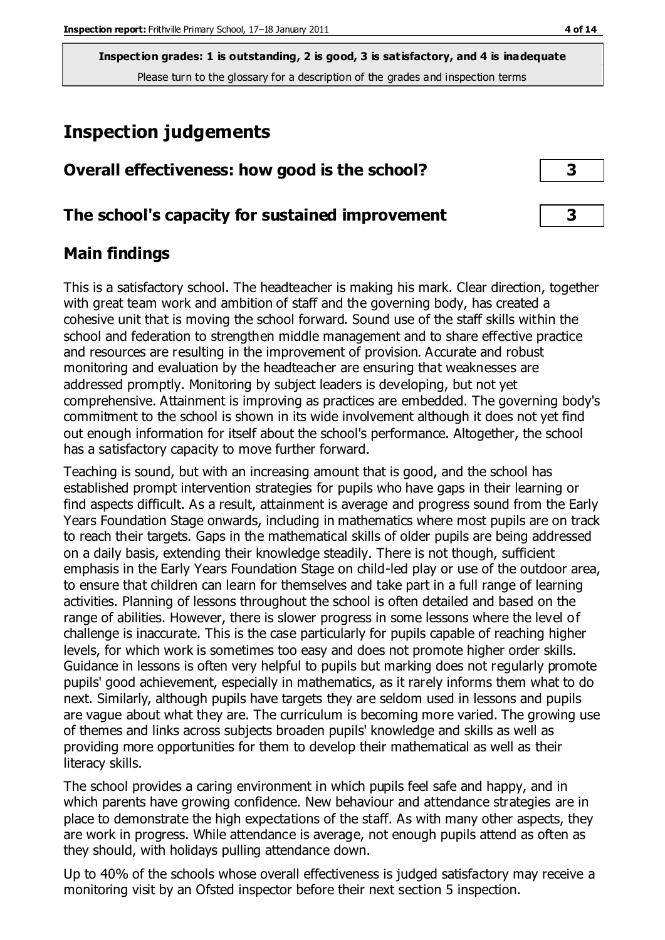# **Inspection judgements**

| Overall effectiveness: how good is the school?  |  |
|-------------------------------------------------|--|
| The school's capacity for sustained improvement |  |

## **Main findings**

This is a satisfactory school. The headteacher is making his mark. Clear direction, together with great team work and ambition of staff and the governing body, has created a cohesive unit that is moving the school forward. Sound use of the staff skills within the school and federation to strengthen middle management and to share effective practice and resources are resulting in the improvement of provision. Accurate and robust monitoring and evaluation by the headteacher are ensuring that weaknesses are addressed promptly. Monitoring by subject leaders is developing, but not yet comprehensive. Attainment is improving as practices are embedded. The governing body's commitment to the school is shown in its wide involvement although it does not yet find out enough information for itself about the school's performance. Altogether, the school has a satisfactory capacity to move further forward.

Teaching is sound, but with an increasing amount that is good, and the school has established prompt intervention strategies for pupils who have gaps in their learning or find aspects difficult. As a result, attainment is average and progress sound from the Early Years Foundation Stage onwards, including in mathematics where most pupils are on track to reach their targets. Gaps in the mathematical skills of older pupils are being addressed on a daily basis, extending their knowledge steadily. There is not though, sufficient emphasis in the Early Years Foundation Stage on child-led play or use of the outdoor area, to ensure that children can learn for themselves and take part in a full range of learning activities. Planning of lessons throughout the school is often detailed and based on the range of abilities. However, there is slower progress in some lessons where the level of challenge is inaccurate. This is the case particularly for pupils capable of reaching higher levels, for which work is sometimes too easy and does not promote higher order skills. Guidance in lessons is often very helpful to pupils but marking does not regularly promote pupils' good achievement, especially in mathematics, as it rarely informs them what to do next. Similarly, although pupils have targets they are seldom used in lessons and pupils are vague about what they are. The curriculum is becoming more varied. The growing use of themes and links across subjects broaden pupils' knowledge and skills as well as providing more opportunities for them to develop their mathematical as well as their literacy skills.

The school provides a caring environment in which pupils feel safe and happy, and in which parents have growing confidence. New behaviour and attendance strategies are in place to demonstrate the high expectations of the staff. As with many other aspects, they are work in progress. While attendance is average, not enough pupils attend as often as they should, with holidays pulling attendance down.

Up to 40% of the schools whose overall effectiveness is judged satisfactory may receive a monitoring visit by an Ofsted inspector before their next section 5 inspection.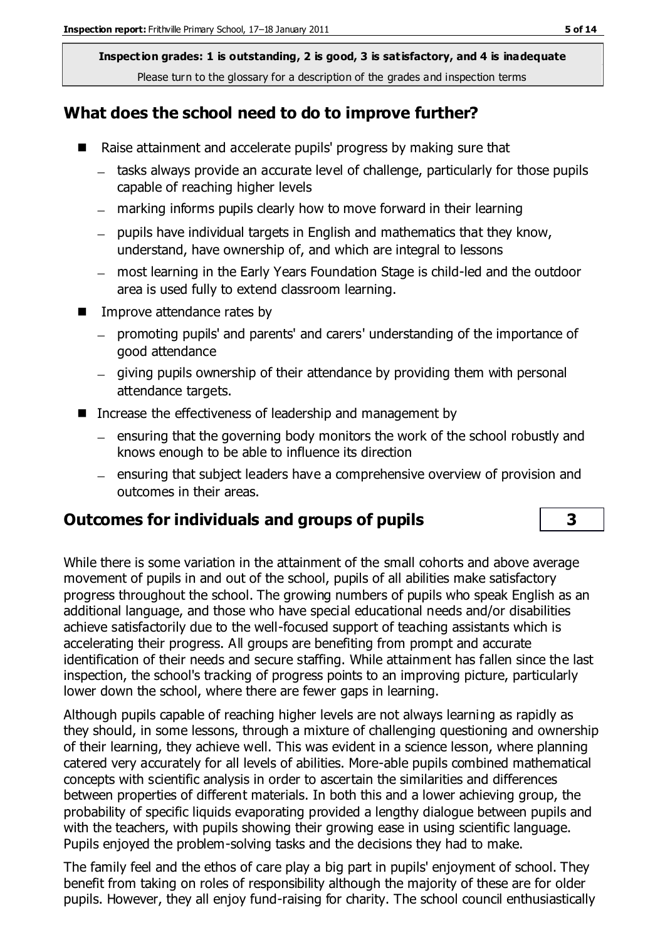## **What does the school need to do to improve further?**

- Raise attainment and accelerate pupils' progress by making sure that
	- tasks always provide an accurate level of challenge, particularly for those pupils capable of reaching higher levels
	- marking informs pupils clearly how to move forward in their learning
	- pupils have individual targets in English and mathematics that they know, understand, have ownership of, and which are integral to lessons
	- most learning in the Early Years Foundation Stage is child-led and the outdoor area is used fully to extend classroom learning.
- Improve attendance rates by
	- promoting pupils' and parents' and carers' understanding of the importance of good attendance
	- giving pupils ownership of their attendance by providing them with personal attendance targets.
- Increase the effectiveness of leadership and management by
	- $-$  ensuring that the governing body monitors the work of the school robustly and knows enough to be able to influence its direction
	- ensuring that subject leaders have a comprehensive overview of provision and outcomes in their areas.

## **Outcomes for individuals and groups of pupils 3**

While there is some variation in the attainment of the small cohorts and above average movement of pupils in and out of the school, pupils of all abilities make satisfactory progress throughout the school. The growing numbers of pupils who speak English as an additional language, and those who have special educational needs and/or disabilities achieve satisfactorily due to the well-focused support of teaching assistants which is accelerating their progress. All groups are benefiting from prompt and accurate identification of their needs and secure staffing. While attainment has fallen since the last inspection, the school's tracking of progress points to an improving picture, particularly lower down the school, where there are fewer gaps in learning.

Although pupils capable of reaching higher levels are not always learning as rapidly as they should, in some lessons, through a mixture of challenging questioning and ownership of their learning, they achieve well. This was evident in a science lesson, where planning catered very accurately for all levels of abilities. More-able pupils combined mathematical concepts with scientific analysis in order to ascertain the similarities and differences between properties of different materials. In both this and a lower achieving group, the probability of specific liquids evaporating provided a lengthy dialogue between pupils and with the teachers, with pupils showing their growing ease in using scientific language. Pupils enjoyed the problem-solving tasks and the decisions they had to make.

The family feel and the ethos of care play a big part in pupils' enjoyment of school. They benefit from taking on roles of responsibility although the majority of these are for older pupils. However, they all enjoy fund-raising for charity. The school council enthusiastically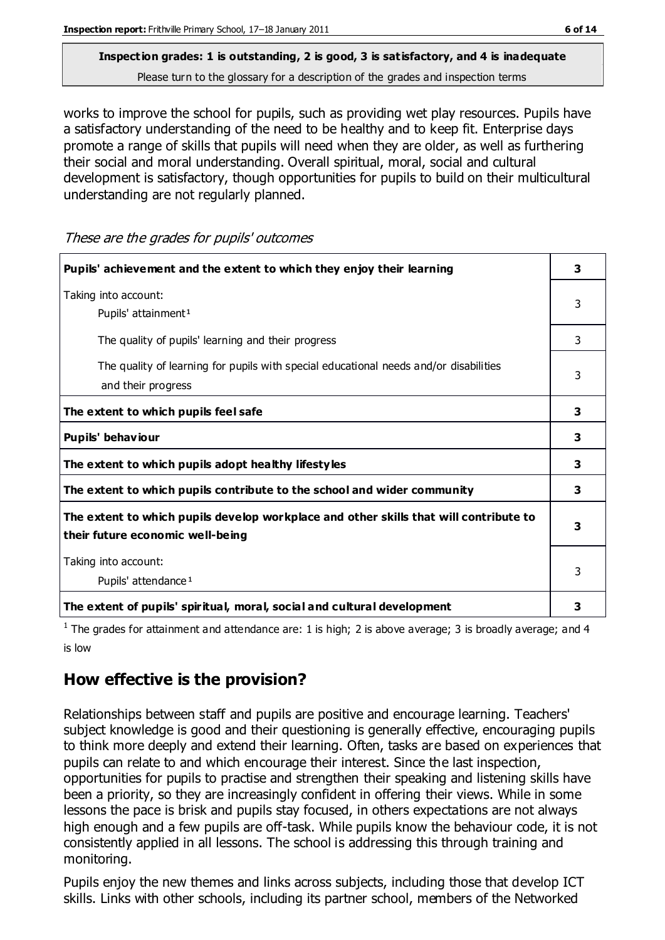works to improve the school for pupils, such as providing wet play resources. Pupils have a satisfactory understanding of the need to be healthy and to keep fit. Enterprise days promote a range of skills that pupils will need when they are older, as well as furthering their social and moral understanding. Overall spiritual, moral, social and cultural development is satisfactory, though opportunities for pupils to build on their multicultural understanding are not regularly planned.

These are the grades for pupils' outcomes

| Pupils' achievement and the extent to which they enjoy their learning                                                     | 3 |
|---------------------------------------------------------------------------------------------------------------------------|---|
| Taking into account:<br>Pupils' attainment <sup>1</sup>                                                                   | 3 |
| The quality of pupils' learning and their progress                                                                        | 3 |
| The quality of learning for pupils with special educational needs and/or disabilities<br>and their progress               | 3 |
| The extent to which pupils feel safe                                                                                      | 3 |
| Pupils' behaviour                                                                                                         | 3 |
| The extent to which pupils adopt healthy lifestyles                                                                       | 3 |
| The extent to which pupils contribute to the school and wider community                                                   | 3 |
| The extent to which pupils develop workplace and other skills that will contribute to<br>their future economic well-being | 3 |
| Taking into account:<br>Pupils' attendance <sup>1</sup>                                                                   | 3 |
| The extent of pupils' spiritual, moral, social and cultural development                                                   | 3 |

<sup>1</sup> The grades for attainment and attendance are: 1 is high; 2 is above average; 3 is broadly average; and 4 is low

## **How effective is the provision?**

Relationships between staff and pupils are positive and encourage learning. Teachers' subject knowledge is good and their questioning is generally effective, encouraging pupils to think more deeply and extend their learning. Often, tasks are based on experiences that pupils can relate to and which encourage their interest. Since the last inspection, opportunities for pupils to practise and strengthen their speaking and listening skills have been a priority, so they are increasingly confident in offering their views. While in some lessons the pace is brisk and pupils stay focused, in others expectations are not always high enough and a few pupils are off-task. While pupils know the behaviour code, it is not consistently applied in all lessons. The school is addressing this through training and monitoring.

Pupils enjoy the new themes and links across subjects, including those that develop ICT skills. Links with other schools, including its partner school, members of the Networked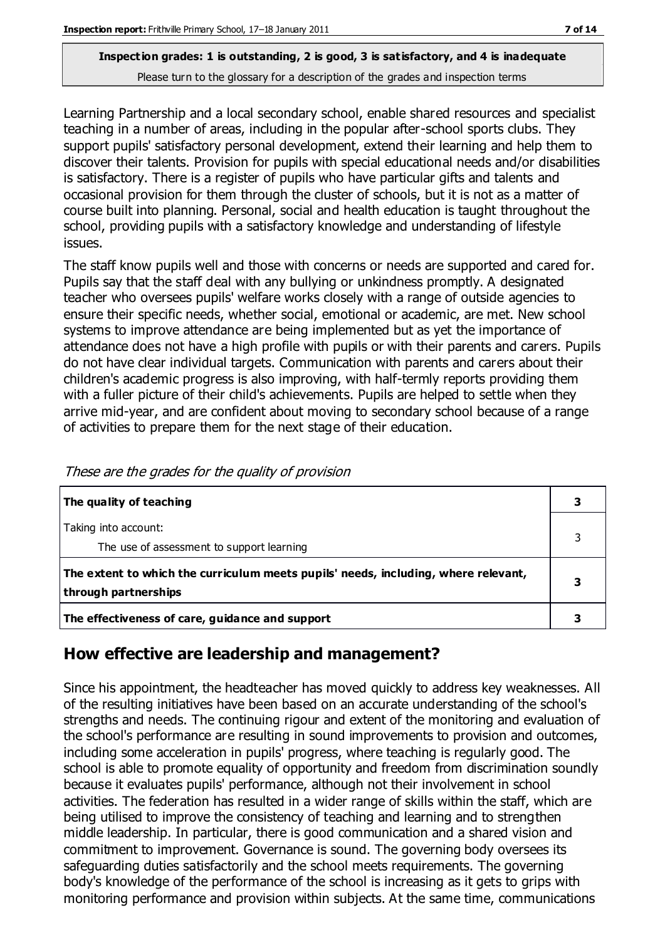Learning Partnership and a local secondary school, enable shared resources and specialist teaching in a number of areas, including in the popular after-school sports clubs. They support pupils' satisfactory personal development, extend their learning and help them to discover their talents. Provision for pupils with special educational needs and/or disabilities is satisfactory. There is a register of pupils who have particular gifts and talents and occasional provision for them through the cluster of schools, but it is not as a matter of course built into planning. Personal, social and health education is taught throughout the school, providing pupils with a satisfactory knowledge and understanding of lifestyle issues.

The staff know pupils well and those with concerns or needs are supported and cared for. Pupils say that the staff deal with any bullying or unkindness promptly. A designated teacher who oversees pupils' welfare works closely with a range of outside agencies to ensure their specific needs, whether social, emotional or academic, are met. New school systems to improve attendance are being implemented but as yet the importance of attendance does not have a high profile with pupils or with their parents and carers. Pupils do not have clear individual targets. Communication with parents and carers about their children's academic progress is also improving, with half-termly reports providing them with a fuller picture of their child's achievements. Pupils are helped to settle when they arrive mid-year, and are confident about moving to secondary school because of a range of activities to prepare them for the next stage of their education.

| The quality of teaching                                                            |  |
|------------------------------------------------------------------------------------|--|
| Taking into account:                                                               |  |
| The use of assessment to support learning                                          |  |
| The extent to which the curriculum meets pupils' needs, including, where relevant, |  |
| through partnerships                                                               |  |
| The effectiveness of care, guidance and support                                    |  |

These are the grades for the quality of provision

## **How effective are leadership and management?**

Since his appointment, the headteacher has moved quickly to address key weaknesses. All of the resulting initiatives have been based on an accurate understanding of the school's strengths and needs. The continuing rigour and extent of the monitoring and evaluation of the school's performance are resulting in sound improvements to provision and outcomes, including some acceleration in pupils' progress, where teaching is regularly good. The school is able to promote equality of opportunity and freedom from discrimination soundly because it evaluates pupils' performance, although not their involvement in school activities. The federation has resulted in a wider range of skills within the staff, which are being utilised to improve the consistency of teaching and learning and to strengthen middle leadership. In particular, there is good communication and a shared vision and commitment to improvement. Governance is sound. The governing body oversees its safeguarding duties satisfactorily and the school meets requirements. The governing body's knowledge of the performance of the school is increasing as it gets to grips with monitoring performance and provision within subjects. At the same time, communications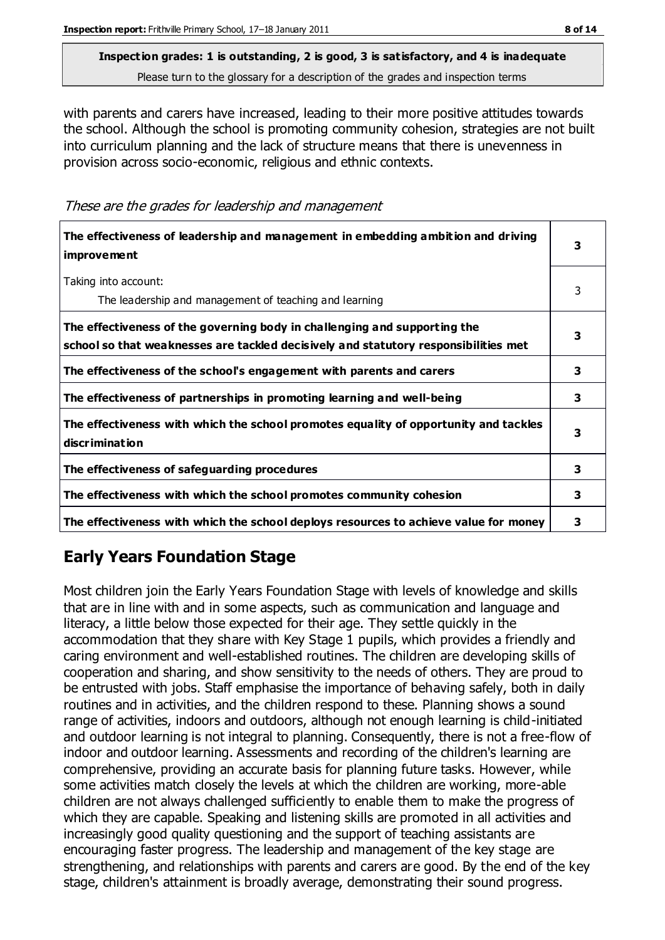with parents and carers have increased, leading to their more positive attitudes towards the school. Although the school is promoting community cohesion, strategies are not built into curriculum planning and the lack of structure means that there is unevenness in provision across socio-economic, religious and ethnic contexts.

These are the grades for leadership and management

| The effectiveness of leadership and management in embedding ambition and driving<br><i>improvement</i>                                                           | 3 |
|------------------------------------------------------------------------------------------------------------------------------------------------------------------|---|
| Taking into account:<br>The leadership and management of teaching and learning                                                                                   | 3 |
| The effectiveness of the governing body in challenging and supporting the<br>school so that weaknesses are tackled decisively and statutory responsibilities met | 3 |
| The effectiveness of the school's engagement with parents and carers                                                                                             | 3 |
| The effectiveness of partnerships in promoting learning and well-being                                                                                           | 3 |
| The effectiveness with which the school promotes equality of opportunity and tackles<br>discrimination                                                           | 3 |
| The effectiveness of safeguarding procedures                                                                                                                     | 3 |
| The effectiveness with which the school promotes community cohesion                                                                                              | 3 |
| The effectiveness with which the school deploys resources to achieve value for money                                                                             | 3 |

# **Early Years Foundation Stage**

Most children join the Early Years Foundation Stage with levels of knowledge and skills that are in line with and in some aspects, such as communication and language and literacy, a little below those expected for their age. They settle quickly in the accommodation that they share with Key Stage 1 pupils, which provides a friendly and caring environment and well-established routines. The children are developing skills of cooperation and sharing, and show sensitivity to the needs of others. They are proud to be entrusted with jobs. Staff emphasise the importance of behaving safely, both in daily routines and in activities, and the children respond to these. Planning shows a sound range of activities, indoors and outdoors, although not enough learning is child-initiated and outdoor learning is not integral to planning. Consequently, there is not a free-flow of indoor and outdoor learning. Assessments and recording of the children's learning are comprehensive, providing an accurate basis for planning future tasks. However, while some activities match closely the levels at which the children are working, more-able children are not always challenged sufficiently to enable them to make the progress of which they are capable. Speaking and listening skills are promoted in all activities and increasingly good quality questioning and the support of teaching assistants are encouraging faster progress. The leadership and management of the key stage are strengthening, and relationships with parents and carers are good. By the end of the key stage, children's attainment is broadly average, demonstrating their sound progress.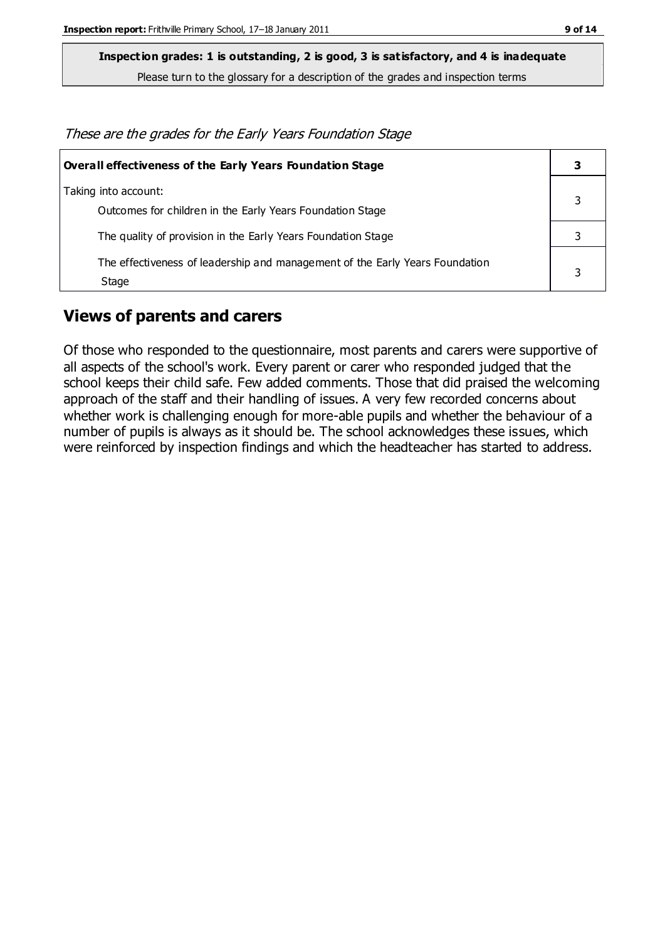**Inspection grades: 1 is outstanding, 2 is good, 3 is satisfactory, and 4 is inadequate**

Please turn to the glossary for a description of the grades and inspection terms

These are the grades for the Early Years Foundation Stage

| <b>Overall effectiveness of the Early Years Foundation Stage</b>                      |  |
|---------------------------------------------------------------------------------------|--|
| Taking into account:<br>Outcomes for children in the Early Years Foundation Stage     |  |
| The quality of provision in the Early Years Foundation Stage                          |  |
| The effectiveness of leadership and management of the Early Years Foundation<br>Stage |  |

### **Views of parents and carers**

Of those who responded to the questionnaire, most parents and carers were supportive of all aspects of the school's work. Every parent or carer who responded judged that the school keeps their child safe. Few added comments. Those that did praised the welcoming approach of the staff and their handling of issues. A very few recorded concerns about whether work is challenging enough for more-able pupils and whether the behaviour of a number of pupils is always as it should be. The school acknowledges these issues, which were reinforced by inspection findings and which the headteacher has started to address.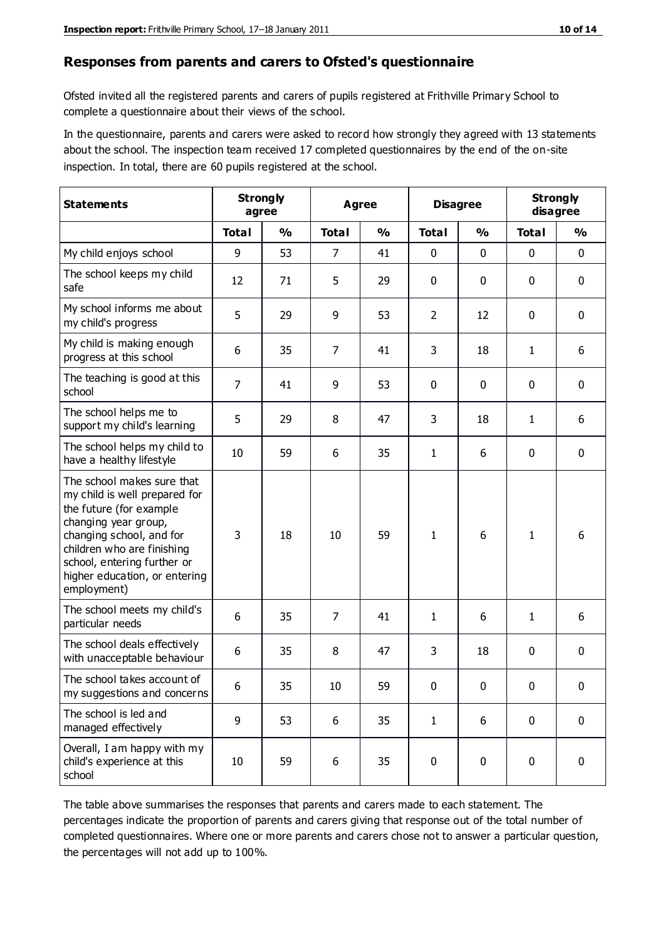#### **Responses from parents and carers to Ofsted's questionnaire**

Ofsted invited all the registered parents and carers of pupils registered at Frithville Primary School to complete a questionnaire about their views of the school.

In the questionnaire, parents and carers were asked to record how strongly they agreed with 13 statements about the school. The inspection team received 17 completed questionnaires by the end of the on-site inspection. In total, there are 60 pupils registered at the school.

| <b>Statements</b>                                                                                                                                                                                                                                       | <b>Strongly</b><br>Agree<br>agree |               |                | <b>Disagree</b> |                | <b>Strongly</b><br>disagree |              |               |
|---------------------------------------------------------------------------------------------------------------------------------------------------------------------------------------------------------------------------------------------------------|-----------------------------------|---------------|----------------|-----------------|----------------|-----------------------------|--------------|---------------|
|                                                                                                                                                                                                                                                         | <b>Total</b>                      | $\frac{0}{0}$ | <b>Total</b>   | $\frac{0}{0}$   | <b>Total</b>   | $\frac{0}{0}$               | <b>Total</b> | $\frac{0}{0}$ |
| My child enjoys school                                                                                                                                                                                                                                  | 9                                 | 53            | $\overline{7}$ | 41              | 0              | 0                           | $\mathbf 0$  | $\mathbf 0$   |
| The school keeps my child<br>safe                                                                                                                                                                                                                       | 12                                | 71            | 5              | 29              | 0              | 0                           | $\mathbf 0$  | $\mathbf 0$   |
| My school informs me about<br>my child's progress                                                                                                                                                                                                       | 5                                 | 29            | 9              | 53              | $\overline{2}$ | 12                          | $\mathbf 0$  | $\mathbf 0$   |
| My child is making enough<br>progress at this school                                                                                                                                                                                                    | 6                                 | 35            | $\overline{7}$ | 41              | 3              | 18                          | 1            | 6             |
| The teaching is good at this<br>school                                                                                                                                                                                                                  | $\overline{7}$                    | 41            | 9              | 53              | 0              | 0                           | 0            | $\mathbf 0$   |
| The school helps me to<br>support my child's learning                                                                                                                                                                                                   | 5                                 | 29            | 8              | 47              | 3              | 18                          | 1            | 6             |
| The school helps my child to<br>have a healthy lifestyle                                                                                                                                                                                                | 10                                | 59            | 6              | 35              | $\mathbf{1}$   | 6                           | $\mathbf 0$  | $\mathbf 0$   |
| The school makes sure that<br>my child is well prepared for<br>the future (for example<br>changing year group,<br>changing school, and for<br>children who are finishing<br>school, entering further or<br>higher education, or entering<br>employment) | 3                                 | 18            | 10             | 59              | 1              | 6                           | $\mathbf{1}$ | 6             |
| The school meets my child's<br>particular needs                                                                                                                                                                                                         | 6                                 | 35            | $\overline{7}$ | 41              | 1              | 6                           | $\mathbf{1}$ | 6             |
| The school deals effectively<br>with unacceptable behaviour                                                                                                                                                                                             | 6                                 | 35            | 8              | 47              | 3              | 18                          | $\mathbf 0$  | 0             |
| The school takes account of<br>my suggestions and concerns                                                                                                                                                                                              | 6                                 | 35            | 10             | 59              | 0              | $\pmb{0}$                   | 0            | 0             |
| The school is led and<br>managed effectively                                                                                                                                                                                                            | 9                                 | 53            | 6              | 35              | $\mathbf{1}$   | 6                           | $\mathbf 0$  | $\mathbf 0$   |
| Overall, I am happy with my<br>child's experience at this<br>school                                                                                                                                                                                     | 10                                | 59            | 6              | 35              | $\pmb{0}$      | 0                           | $\mathbf 0$  | $\mathbf 0$   |

The table above summarises the responses that parents and carers made to each statement. The percentages indicate the proportion of parents and carers giving that response out of the total number of completed questionnaires. Where one or more parents and carers chose not to answer a particular question, the percentages will not add up to 100%.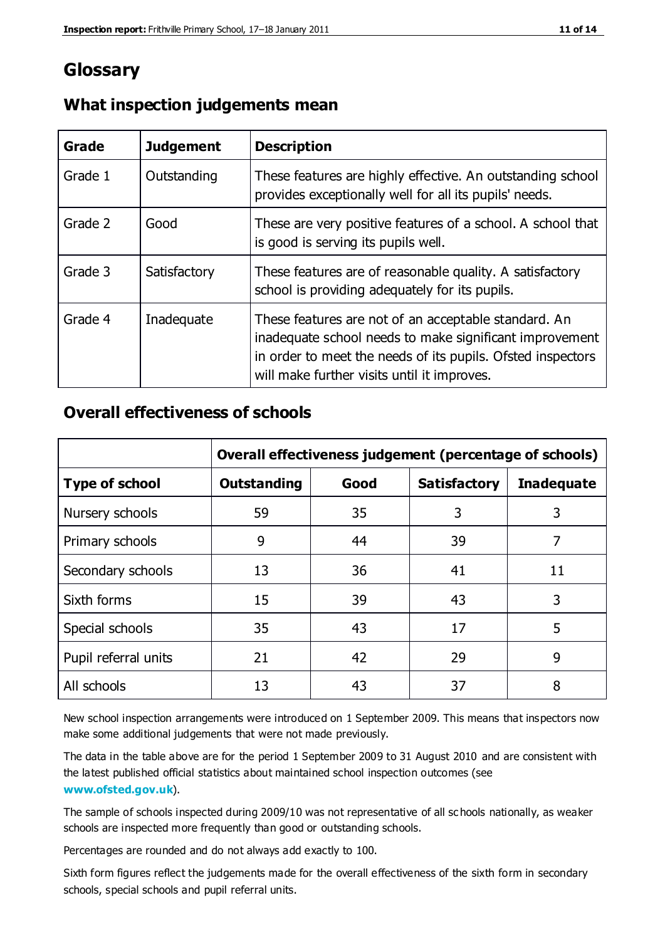# **Glossary**

| Grade   | <b>Judgement</b> | <b>Description</b>                                                                                                                                                                                                            |
|---------|------------------|-------------------------------------------------------------------------------------------------------------------------------------------------------------------------------------------------------------------------------|
| Grade 1 | Outstanding      | These features are highly effective. An outstanding school<br>provides exceptionally well for all its pupils' needs.                                                                                                          |
| Grade 2 | Good             | These are very positive features of a school. A school that<br>is good is serving its pupils well.                                                                                                                            |
| Grade 3 | Satisfactory     | These features are of reasonable quality. A satisfactory<br>school is providing adequately for its pupils.                                                                                                                    |
| Grade 4 | Inadequate       | These features are not of an acceptable standard. An<br>inadequate school needs to make significant improvement<br>in order to meet the needs of its pupils. Ofsted inspectors<br>will make further visits until it improves. |

## **What inspection judgements mean**

## **Overall effectiveness of schools**

|                       | Overall effectiveness judgement (percentage of schools) |      |                     |                   |
|-----------------------|---------------------------------------------------------|------|---------------------|-------------------|
| <b>Type of school</b> | <b>Outstanding</b>                                      | Good | <b>Satisfactory</b> | <b>Inadequate</b> |
| Nursery schools       | 59                                                      | 35   | 3                   | 3                 |
| Primary schools       | 9                                                       | 44   | 39                  | 7                 |
| Secondary schools     | 13                                                      | 36   | 41                  | 11                |
| Sixth forms           | 15                                                      | 39   | 43                  | 3                 |
| Special schools       | 35                                                      | 43   | 17                  | 5                 |
| Pupil referral units  | 21                                                      | 42   | 29                  | 9                 |
| All schools           | 13                                                      | 43   | 37                  | 8                 |

New school inspection arrangements were introduced on 1 September 2009. This means that inspectors now make some additional judgements that were not made previously.

The data in the table above are for the period 1 September 2009 to 31 August 2010 and are consistent with the latest published official statistics about maintained school inspection outcomes (see **[www.ofsted.gov.uk](http://www.ofsted.gov.uk/)**).

The sample of schools inspected during 2009/10 was not representative of all sc hools nationally, as weaker schools are inspected more frequently than good or outstanding schools.

Percentages are rounded and do not always add exactly to 100.

Sixth form figures reflect the judgements made for the overall effectiveness of the sixth form in secondary schools, special schools and pupil referral units.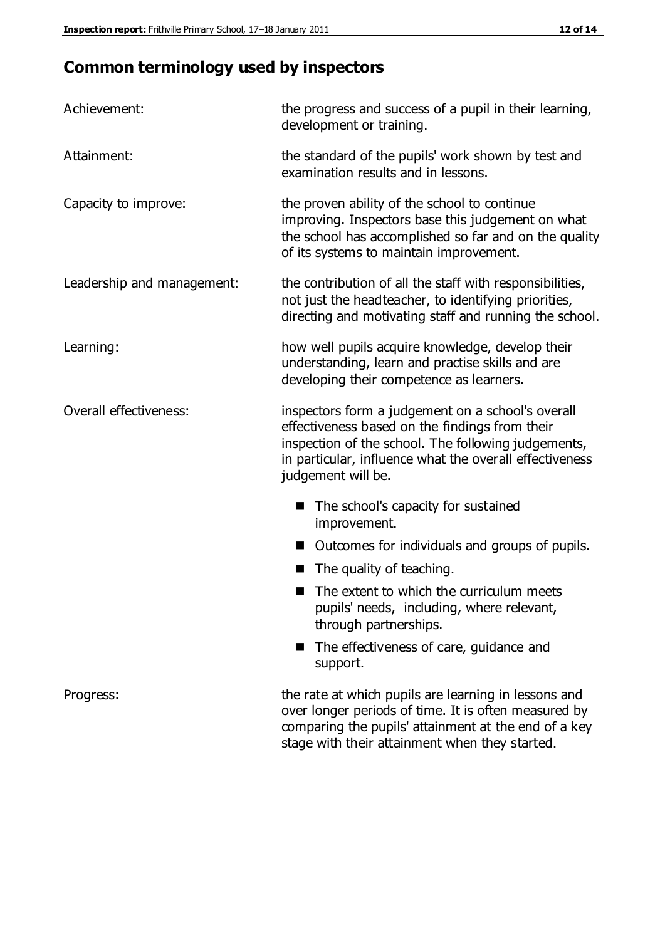# **Common terminology used by inspectors**

| Achievement:               | the progress and success of a pupil in their learning,<br>development or training.                                                                                                                                                          |  |
|----------------------------|---------------------------------------------------------------------------------------------------------------------------------------------------------------------------------------------------------------------------------------------|--|
| Attainment:                | the standard of the pupils' work shown by test and<br>examination results and in lessons.                                                                                                                                                   |  |
| Capacity to improve:       | the proven ability of the school to continue<br>improving. Inspectors base this judgement on what<br>the school has accomplished so far and on the quality<br>of its systems to maintain improvement.                                       |  |
| Leadership and management: | the contribution of all the staff with responsibilities,<br>not just the headteacher, to identifying priorities,<br>directing and motivating staff and running the school.                                                                  |  |
| Learning:                  | how well pupils acquire knowledge, develop their<br>understanding, learn and practise skills and are<br>developing their competence as learners.                                                                                            |  |
| Overall effectiveness:     | inspectors form a judgement on a school's overall<br>effectiveness based on the findings from their<br>inspection of the school. The following judgements,<br>in particular, influence what the overall effectiveness<br>judgement will be. |  |
|                            | The school's capacity for sustained<br>improvement.                                                                                                                                                                                         |  |
|                            | Outcomes for individuals and groups of pupils.                                                                                                                                                                                              |  |
|                            | The quality of teaching.                                                                                                                                                                                                                    |  |
|                            | The extent to which the curriculum meets<br>pupils' needs, including, where relevant,<br>through partnerships.                                                                                                                              |  |
|                            | The effectiveness of care, guidance and<br>support.                                                                                                                                                                                         |  |
| Progress:                  | the rate at which pupils are learning in lessons and<br>over longer periods of time. It is often measured by<br>comparing the pupils' attainment at the end of a key                                                                        |  |

stage with their attainment when they started.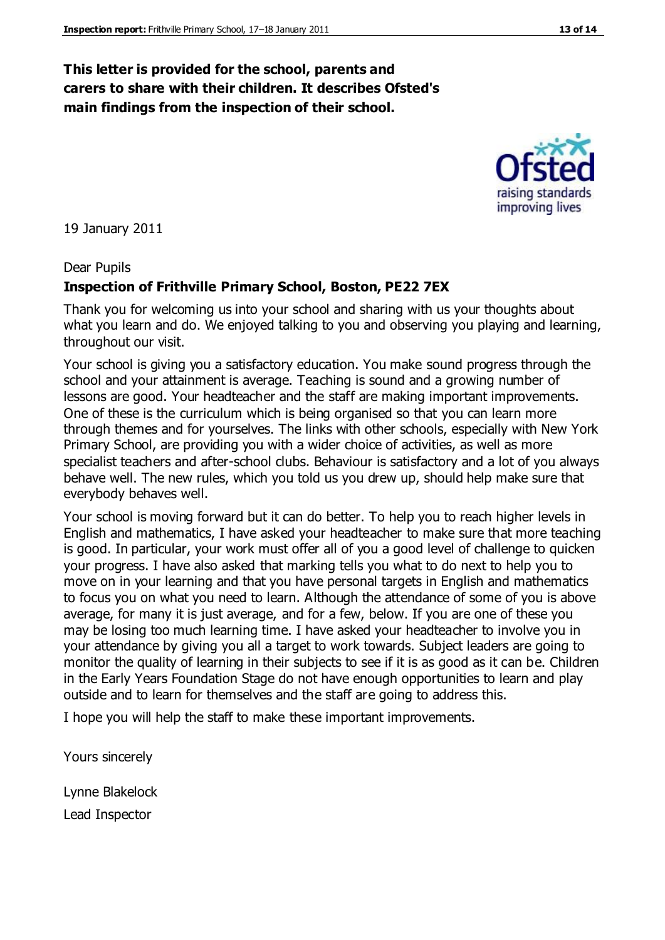## **This letter is provided for the school, parents and carers to share with their children. It describes Ofsted's main findings from the inspection of their school.**

19 January 2011

#### Dear Pupils

#### **Inspection of Frithville Primary School, Boston, PE22 7EX**

Thank you for welcoming us into your school and sharing with us your thoughts about what you learn and do. We enjoyed talking to you and observing you playing and learning, throughout our visit.

Your school is giving you a satisfactory education. You make sound progress through the school and your attainment is average. Teaching is sound and a growing number of lessons are good. Your headteacher and the staff are making important improvements. One of these is the curriculum which is being organised so that you can learn more through themes and for yourselves. The links with other schools, especially with New York Primary School, are providing you with a wider choice of activities, as well as more specialist teachers and after-school clubs. Behaviour is satisfactory and a lot of you always behave well. The new rules, which you told us you drew up, should help make sure that everybody behaves well.

Your school is moving forward but it can do better. To help you to reach higher levels in English and mathematics, I have asked your headteacher to make sure that more teaching is good. In particular, your work must offer all of you a good level of challenge to quicken your progress. I have also asked that marking tells you what to do next to help you to move on in your learning and that you have personal targets in English and mathematics to focus you on what you need to learn. Although the attendance of some of you is above average, for many it is just average, and for a few, below. If you are one of these you may be losing too much learning time. I have asked your headteacher to involve you in your attendance by giving you all a target to work towards. Subject leaders are going to monitor the quality of learning in their subjects to see if it is as good as it can be. Children in the Early Years Foundation Stage do not have enough opportunities to learn and play outside and to learn for themselves and the staff are going to address this.

I hope you will help the staff to make these important improvements.

Yours sincerely

Lynne Blakelock Lead Inspector